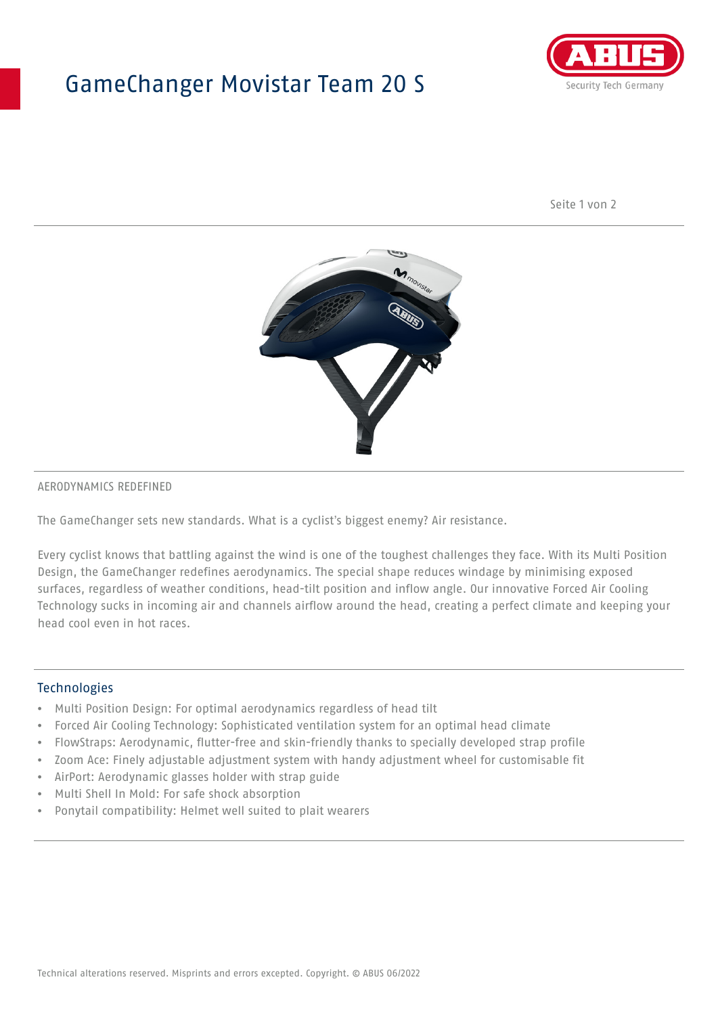## GameChanger Movistar Team 20 S



Seite 1 von 2



#### AERODYNAMICS REDEFINED

The GameChanger sets new standards. What is a cyclist's biggest enemy? Air resistance.

Every cyclist knows that battling against the wind is one of the toughest challenges they face. With its Multi Position Design, the GameChanger redefines aerodynamics. The special shape reduces windage by minimising exposed surfaces, regardless of weather conditions, head-tilt position and inflow angle. Our innovative Forced Air Cooling Technology sucks in incoming air and channels airflow around the head, creating a perfect climate and keeping your head cool even in hot races.

#### Technologies

- Multi Position Design: For optimal aerodynamics regardless of head tilt
- Forced Air Cooling Technology: Sophisticated ventilation system for an optimal head climate
- FlowStraps: Aerodynamic, flutter-free and skin-friendly thanks to specially developed strap profile
- Zoom Ace: Finely adjustable adjustment system with handy adjustment wheel for customisable fit
- AirPort: Aerodynamic glasses holder with strap guide
- Multi Shell In Mold: For safe shock absorption
- Ponytail compatibility: Helmet well suited to plait wearers